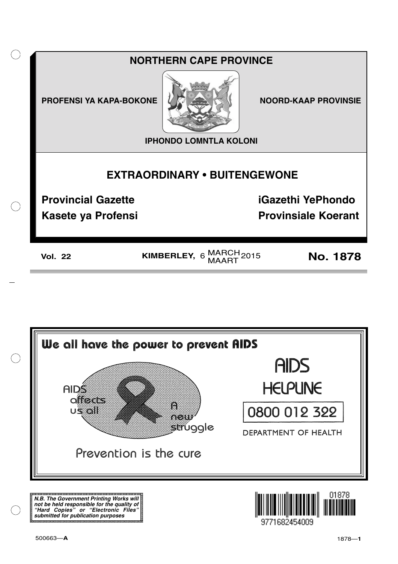



**N.B. The Government Printing Works will not be held responsible for the quality of "Hard Copies" or "Electronic Files" submitted for publication purposes**

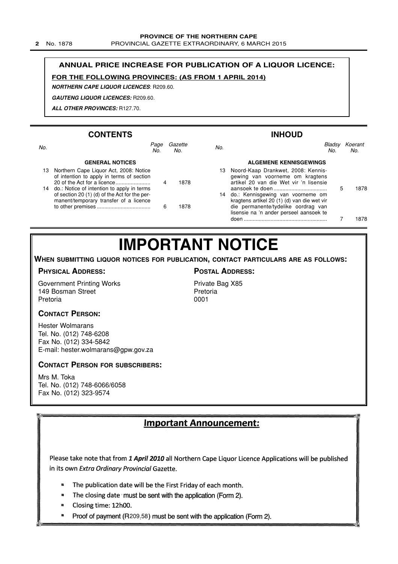**2** No. 1878 PROVINCIAL GAZETTE EXTRAORDINARY, 6 MARCH 2015

### **ANNUAL PRICE INCREASE FOR PUBLICATION OF A LIQUOR LICENCE:**

### **FOR THE FOLLOWING PROVINCES: (AS FROM 1 APRIL 2014)**

**NORTHERN CAPE LIQUOR LICENCES**: R209.60.

**GAUTENG LIQUOR LICENCES:** R209.60.

**ALL OTHER PROVINCES:** R127.70.

### **CONTENTS**

to other premises .................................... 6 1878

|     | <b>CONTENTS</b>                                                                                                                          |   |                |     | <b>INHOUD</b>                                                                                                      |               |                |
|-----|------------------------------------------------------------------------------------------------------------------------------------------|---|----------------|-----|--------------------------------------------------------------------------------------------------------------------|---------------|----------------|
| No. | Page<br>No.                                                                                                                              |   | Gazette<br>No. | No. |                                                                                                                    | Bladsy<br>No. | Koerant<br>No. |
|     | <b>GENERAL NOTICES</b>                                                                                                                   |   |                |     | <b>ALGEMENE KENNISGEWINGS</b>                                                                                      |               |                |
| 13. | Northern Cape Liquor Act, 2008: Notice<br>of intention to apply in terms of section                                                      | 4 | 1878           |     | 13 Noord-Kaap Drankwet, 2008: Kennis-<br>gewing van voorneme om kragtens<br>artikel 20 van die Wet vir 'n lisensie |               |                |
|     | 14 do.: Notice of intention to apply in terms<br>of section 20 (1) (d) of the Act for the per-<br>manent/temporary transfer of a licence |   |                |     | 14 do.: Kennisgewing van voorneme om<br>kragtens artikel 20 (1) (d) van die wet vir                                |               | 1878           |

die permanente/tydelike oordrag van lisensie na 'n ander perseel aansoek te

doen ........................................................ 7 1878

## **IMPORTANT NOTICE**

**WHEN SUBMITTING LIQUOR NOTICES FOR PUBLICATION, CONTACT PARTICULARS ARE AS FOLLOWS:**

### **PHYSICAL ADDRESS:**

Government Printing Works 149 Bosman Street Pretoria

### **POSTAL ADDRESS:**

Private Bag X85 Pretoria 0001

### **CONTACT PERSON:**

Hester Wolmarans Tel. No. (012) 748-6208 Fax No. (012) 334-5842 E-mail: hester.wolmarans@gpw.gov.za

### **CONTACT PERSON FOR SUBSCRIBERS:**

Mrs M. Toka Tel. No. (012) 748-6066/6058 Fax No. (012) 323-9574

### Important Announcement:

Please take note that from 1 April 2010 all Northern Cape Liquor Licence Applications will be published in its own Extra Ordinary Provincial Gazette.

- The publication date will be the First Friday of each month. ø
- $\blacksquare$ The closing date must be sent with the application (Form 2).
- Closing time: 12h00.  $\blacksquare$
- $\blacksquare$ Proof of payment (R209.58) must be sent with the application (Form 2).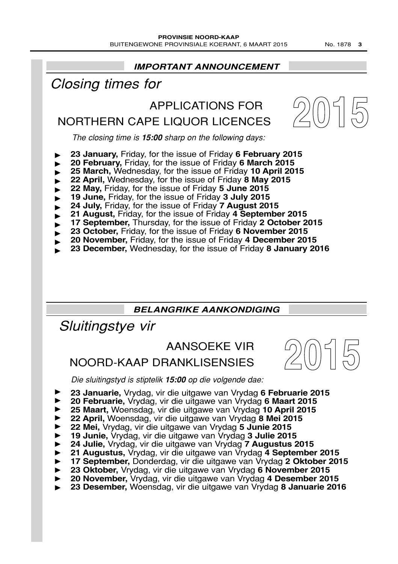### **IMPORTANT ANNOUNCEMENT 2015** The closing time is **15:00** sharp on the following days: APPLICATIONS FOR NORTHERN CAPE LIQUOR LICENCES Closing times for **23 January,** Friday, for the issue of Friday **6 February 2015 20 February,** Friday, for the issue of Friday **6 March 2015 25 March,** Wednesday, for the issue of Friday **10 April 2015 22 April,** Wednesday, for the issue of Friday **8 May 2015 22 May,** Friday, for the issue of Friday **5 June 2015 19 June,** Friday, for the issue of Friday **3 July 2015 24 July,** Friday, for the issue of Friday **7 August 2015 21 August,** Friday, for the issue of Friday **4 September 2015** ▼ ▼ ▼ ▼ ▼ ▼ ▼ ▼ ▼ ▼ ▼ ▼

- 
- **17 September,** Thursday, for the issue of Friday **2 October 2015**
- **23 October,** Friday, for the issue of Friday **6 November 2015 20 November,** Friday, for the issue of Friday **4 December 2015**
- 
- **23 December,** Wednesday, for the issue of Friday **8 January 2016**

### **BELANGRIKE AANKONDIGING**

Sluitingstye vir

### AANSOEKE VIR

### NOORD-KAAP DRANKLISENSIES

**2015**

Die sluitingstyd is stiptelik **15:00** op die volgende dae:

- **23 Januarie,** Vrydag, vir die uitgawe van Vrydag **6 Februarie 2015**
- **20 Februarie,** Vrydag, vir die uitgawe van Vrydag **6 Maart 2015** ▼ ▼ ▼ ▼ ▼ ▼ ▼ ▼ ▼ ▼ ▼ ▼
- **25 Maart,** Woensdag, vir die uitgawe van Vrydag **10 April 2015**
- **22 April,** Woensdag, vir die uitgawe van Vrydag **8 Mei 2015**
- **22 Mei,** Vrydag, vir die uitgawe van Vrydag **5 Junie 2015**
- **19 Junie,** Vrydag, vir die uitgawe van Vrydag **3 Julie 2015**
- **24 Julie,** Vrydag, vir die uitgawe van Vrydag **7 Augustus 2015**
- **21 Augustus,** Vrydag, vir die uitgawe van Vrydag **4 September 2015**
- **17 September,** Donderdag, vir die uitgawe van Vrydag **2 Oktober 2015**
- **23 Oktober,** Vrydag, vir die uitgawe van Vrydag **6 November 2015**
- **20 November,** Vrydag, vir die uitgawe van Vrydag **4 Desember 2015**
- **23 Desember,** Woensdag, vir die uitgawe van Vrydag **8 Januarie 2016**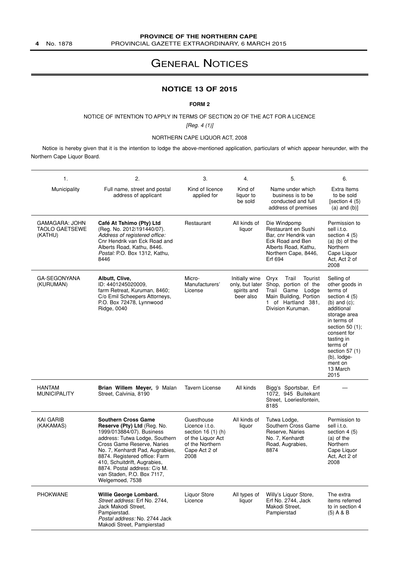### GENERAL NOTICES

### **NOTICE 13 OF 2015**

#### **FORM 2**

NOTICE OF INTENTION TO APPLY IN TERMS OF SECTION 20 OF THE ACT FOR A LICENCE

[Reg. 4 (1)]

#### NORTHERN CAPE LIQUOR ACT, 2008

Notice is hereby given that it is the intention to lodge the above-mentioned application, particulars of which appear hereunder, with the Northern Cape Liquor Board.

| 1.                                                 | 2.                                                                                                                                                                                                                                                                                                                                          | 3.                                                                                                                  | 4.                                                            | 5.                                                                                                                                                  | 6.                                                                                                                                                                                                                                                             |
|----------------------------------------------------|---------------------------------------------------------------------------------------------------------------------------------------------------------------------------------------------------------------------------------------------------------------------------------------------------------------------------------------------|---------------------------------------------------------------------------------------------------------------------|---------------------------------------------------------------|-----------------------------------------------------------------------------------------------------------------------------------------------------|----------------------------------------------------------------------------------------------------------------------------------------------------------------------------------------------------------------------------------------------------------------|
| Municipality                                       | Full name, street and postal<br>address of applicant                                                                                                                                                                                                                                                                                        | Kind of licence<br>applied for                                                                                      | Kind of<br>liquor to<br>be sold                               | Name under which<br>business is to be<br>conducted and full<br>address of premises                                                                  | Extra Items<br>to be sold<br>[section 4 (5)<br>$(a)$ and $(b)$ ]                                                                                                                                                                                               |
| GAMAGARA: JOHN<br><b>TAOLO GAETSEWE</b><br>(KATHU) | Café At Tshimo (Pty) Ltd<br>(Reg. No. 2012/191440/07).<br>Address of registered office:<br>Cnr Hendrik van Eck Road and<br>Alberts Road, Kathu, 8446.<br>Postal: P.O. Box 1312, Kathu,<br>8446                                                                                                                                              | Restaurant                                                                                                          | All kinds of<br>liquor                                        | Die Windpomp<br>Restaurant en Sushi<br>Bar, cnr Hendrik van<br>Eck Road and Ben<br>Alberts Road, Kathu,<br>Northern Cape, 8446,<br>Erf 694          | Permission to<br>sell i.t.o.<br>section $4(5)$<br>$(a)$ (b) of the<br>Northern<br>Cape Liquor<br>Act, Act 2 of<br>2008                                                                                                                                         |
| GA-SEGONYANA<br>(KURUMAN)                          | Albutt, Clive,<br>ID: 4401245020009.<br>farm Retreat, Kuruman, 8460;<br>C/o Emil Scheepers Attorneys,<br>P.O. Box 72478, Lynnwood<br>Ridge, 0040                                                                                                                                                                                            | Micro-<br>Manufacturers'<br>License                                                                                 | Initially wine<br>only, but later<br>spirits and<br>beer also | Oryx<br>Trail<br>Tourist<br>Shop, portion of the<br>Game<br>Trail<br>Lodge<br>Main Building, Portion<br>of Hartland 381,<br>1.<br>Division Kuruman. | Selling of<br>other goods in<br>terms of<br>section 4 (5)<br>(b) and $(c)$ ;<br>additional<br>storage area<br>in terms of<br>section 50 $(1)$ ;<br>consent for<br>tasting in<br>terms of<br>section 57 (1)<br>$(b)$ , $l$ odge-<br>ment on<br>13 March<br>2015 |
| <b>HANTAM</b><br><b>MUNICIPALITY</b>               | Brian Willem Meyer, 9 Malan<br>Street, Calvinia, 8190                                                                                                                                                                                                                                                                                       | <b>Tavern License</b>                                                                                               | All kinds                                                     | Bigg's Sportsbar, Erf<br>1072, 945 Buitekant<br>Street, Loeriesfontein,<br>8185                                                                     |                                                                                                                                                                                                                                                                |
| <b>KAI GARIB</b><br>(KAKAMAS)                      | <b>Southern Cross Game</b><br>Reserve (Pty) Ltd (Reg. No.<br>1999/013884/07). Business<br>address: Tutwa Lodge, Southern<br>Cross Game Reserve, Naries<br>No. 7, Kenhardt Pad, Augrabies,<br>8874. Registered office: Farm<br>410, Schuitdrift, Augrabies,<br>8874. Postal address: C/o M.<br>van Staden, P.O. Box 7117,<br>Welgemoed, 7538 | Guesthouse<br>Licence i.t.o.<br>section 16 (1) (h)<br>of the Liquor Act<br>of the Northern<br>Cape Act 2 of<br>2008 | All kinds of<br>liquor                                        | Tutwa Lodge,<br>Southern Cross Game<br>Reserve, Naries<br>No. 7, Kenhardt<br>Road, Augrabies,<br>8874                                               | Permission to<br>sell i.t.o.<br>section 4 (5)<br>(a) of the<br>Northern<br>Cape Liquor<br>Act, Act 2 of<br>2008                                                                                                                                                |
| <b>PHOKWANE</b>                                    | Willie George Lombard.<br>Street address: Erf No. 2744,<br>Jack Makodi Street,<br>Pampierstad.<br>Postal address: No. 2744 Jack<br>Makodi Street, Pampierstad                                                                                                                                                                               | Liquor Store<br>Licence                                                                                             | All types of<br>liquor                                        | Willy's Liquor Store,<br>Erf No. 2744, Jack<br>Makodi Street,<br>Pampierstad                                                                        | The extra<br>items referred<br>to in section 4<br>$(5)$ A & B                                                                                                                                                                                                  |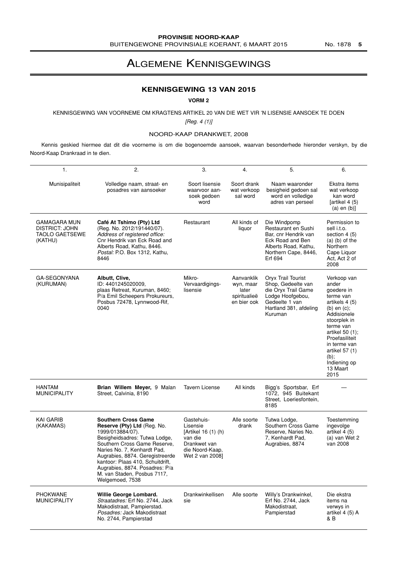### ALGEMENE KENNISGEWINGS

### **KENNISGEWING 13 VAN 2015**

### **VORM 2**

### KENNISGEWING VAN VOORNEME OM KRAGTENS ARTIKEL 20 VAN DIE WET VIR 'N LISENSIE AANSOEK TE DOEN

 $[Reg. 4 (1)]$ 

### NOORD-KAAP DRANKWET, 2008

Kennis geskied hiermee dat dit die voorneme is om die bogenoemde aansoek, waarvan besonderhede hieronder verskyn, by die Noord-Kaap Drankraad in te dien.

| 1.                                                                               | 2.                                                                                                                                                                                                                                                                                                                                       | 3.                                                                                                             | 4.                                                              | 5.                                                                                                                                         | 6.                                                                                                                                                                                                                                                      |
|----------------------------------------------------------------------------------|------------------------------------------------------------------------------------------------------------------------------------------------------------------------------------------------------------------------------------------------------------------------------------------------------------------------------------------|----------------------------------------------------------------------------------------------------------------|-----------------------------------------------------------------|--------------------------------------------------------------------------------------------------------------------------------------------|---------------------------------------------------------------------------------------------------------------------------------------------------------------------------------------------------------------------------------------------------------|
| Munisipaliteit                                                                   | Volledige naam, straat- en<br>posadres van aansoeker                                                                                                                                                                                                                                                                                     | Soort lisensie<br>waarvoor aan-<br>soek gedoen<br>word                                                         | Soort drank<br>wat verkoop<br>sal word                          | Naam waaronder<br>besigheid gedoen sal<br>word en volledige<br>adres van perseel                                                           | Ekstra items<br>wat verkoop<br>kan word<br>[artikel 4 (5)]<br>$(a)$ en $(b)$ ]                                                                                                                                                                          |
| <b>GAMAGARA MUN</b><br><b>DISTRICT: JOHN</b><br><b>TAOLO GAETSEWE</b><br>(KATHU) | Café At Tshimo (Pty) Ltd<br>(Reg. No. 2012/191440/07).<br>Address of registered office:<br>Cnr Hendrik van Eck Road and<br>Alberts Road, Kathu, 8446.<br>Postal: P.O. Box 1312, Kathu,<br>8446                                                                                                                                           | Restaurant                                                                                                     | All kinds of<br>liquor                                          | Die Windpomp<br>Restaurant en Sushi<br>Bar, cnr Hendrik van<br>Eck Road and Ben<br>Alberts Road, Kathu,<br>Northern Cape, 8446,<br>Erf 694 | Permission to<br>sell i.t.o.<br>section $4(5)$<br>$(a)$ (b) of the<br>Northern<br>Cape Liquor<br>Act, Act 2 of<br>2008                                                                                                                                  |
| GA-SEGONYANA<br>(KURUMAN)                                                        | Albutt, Clive,<br>ID: 4401245020009.<br>plaas Retreat, Kuruman, 8460;<br>P/a Emil Scheepers Prokureurs,<br>Posbus 72478, Lynnwood-Rif,<br>0040                                                                                                                                                                                           | Mikro-<br>Vervaardigings-<br>lisensie                                                                          | Aanvanklik<br>wyn, maar<br>later<br>spiritualieë<br>en bier ook | Oryx Trail Tourist<br>Shop, Gedeelte van<br>die Oryx Trail Game<br>Lodge Hoofgebou,<br>Gedeelte 1 van<br>Hartland 381, afdeling<br>Kuruman | Verkoop van<br>ander<br>goedere in<br>terme van<br>artikels 4 (5)<br>$(b)$ en $(c)$ ;<br>Addisionele<br>stoorplek in<br>terme van<br>artikel 50 (1);<br>Proefasiliteit<br>in terme van<br>artikel 57 (1)<br>$(b)$ ;<br>Indiening op<br>13 Maart<br>2015 |
| <b>HANTAM</b><br><b>MUNICIPALITY</b>                                             | Brian Willem Meyer, 9 Malan<br>Street, Calvinia, 8190                                                                                                                                                                                                                                                                                    | <b>Tavern License</b>                                                                                          | All kinds                                                       | Bigg's Sportsbar, Erf<br>1072, 945 Buitekant<br>Street, Loeriesfontein,<br>8185                                                            |                                                                                                                                                                                                                                                         |
| <b>KAI GARIB</b><br>(KAKAMAS)                                                    | <b>Southern Cross Game</b><br>Reserve (Pty) Ltd (Reg. No.<br>1999/013884/07).<br>Besigheidsadres: Tutwa Lodge,<br>Southern Cross Game Reserve,<br>Naries No. 7, Kenhardt Pad,<br>Augrabies, 8874. Geregistreerde<br>kantoor: Plaas 410, Schuitdrift,<br>Augrabies, 8874. Posadres: P/a<br>M. van Staden. Posbus 7117.<br>Welgemoed, 7538 | Gastehuis-<br>Lisensie<br>[Artikel 16 (1) (h)<br>van die<br>Drankwet van<br>die Noord-Kaap,<br>Wet 2 van 2008] | Alle soorte<br>drank                                            | Tutwa Lodge,<br>Southern Cross Game<br>Reserve, Naries No.<br>7, Kenhardt Pad,<br>Augrabies, 8874                                          | Toestemming<br>ingevolge<br>artikel 4 (5)<br>(a) van Wet 2<br>van 2008                                                                                                                                                                                  |
| <b>PHOKWANE</b><br><b>MUNICIPALITY</b>                                           | Willie George Lombard.<br>Straatadres: Erf No. 2744, Jack<br>Makodistraat, Pampierstad.<br>Posadres: Jack Makodistraat<br>No. 2744, Pampierstad                                                                                                                                                                                          | Drankwinkellisen<br>sie                                                                                        | Alle soorte                                                     | Willy's Drankwinkel,<br>Erf No. 2744, Jack<br>Makodistraat.<br>Pampierstad                                                                 | Die ekstra<br>items na<br>verwys in<br>artikel 4 (5) A<br>& B                                                                                                                                                                                           |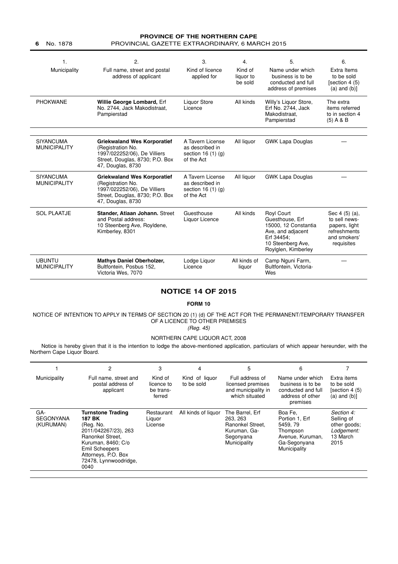#### **PROVINCE OF THE NORTHERN CAPE 6** No. 1878 PROVINCIAL GAZETTE EXTRAORDINARY, 6 MARCH 2015

| 1.<br>Municipality                      | 2.<br>Full name, street and postal<br>address of applicant                                                                                      | 3.<br>Kind of licence<br>applied for                                        | 4.<br>Kind of<br>liquor to<br>be sold | 5.<br>Name under which<br>business is to be<br>conducted and full<br>address of premises                                             | 6.<br>Extra Items<br>to be sold<br>[section 4 (5)<br>$(a)$ and $(b)$ ]                         |
|-----------------------------------------|-------------------------------------------------------------------------------------------------------------------------------------------------|-----------------------------------------------------------------------------|---------------------------------------|--------------------------------------------------------------------------------------------------------------------------------------|------------------------------------------------------------------------------------------------|
| <b>PHOKWANE</b>                         | Willie George Lombard, Erf<br>No. 2744, Jack Makodistraat,<br>Pampierstad                                                                       | Liquor Store<br>Licence                                                     | All kinds                             | Willy's Liquor Store,<br>Erf No. 2744. Jack<br>Makodistraat.<br>Pampierstad                                                          | The extra<br>items referred<br>to in section 4<br>$(5)$ A & B                                  |
| <b>SIYANCUMA</b><br><b>MUNICIPALITY</b> | <b>Griekwaland Wes Korporatief</b><br>(Registration No.<br>1997/022252/06), De Villiers<br>Street, Douglas, 8730; P.O. Box<br>47, Douglas, 8730 | A Tavern License<br>as described in<br>section 16 $(1)$ $(q)$<br>of the Act | All liquor                            | <b>GWK Lapa Douglas</b>                                                                                                              |                                                                                                |
| <b>SIYANCUMA</b><br><b>MUNICIPALITY</b> | <b>Griekwaland Wes Korporatief</b><br>(Registration No.<br>1997/022252/06), De Villiers<br>Street, Douglas, 8730; P.O. Box<br>47, Douglas, 8730 | A Tavern License<br>as described in<br>section 16 (1) (g)<br>of the Act     | All liquor                            | <b>GWK Lapa Douglas</b>                                                                                                              |                                                                                                |
| <b>SOL PLAATJE</b>                      | Stander, Atiaan Johann. Street<br>and Postal address:<br>10 Steenberg Ave, Royldene,<br>Kimberley, 8301                                         | Guesthouse<br>Liquor Licence                                                | All kinds                             | Royl Court<br>Guesthouse, Erf<br>15000, 12 Constantia<br>Ave, and adjacent<br>Erf 34454;<br>10 Steenberg Ave.<br>Roylglen, Kimberley | Sec 4 (5) (a),<br>to sell news-<br>papers, light<br>refreshments<br>and smokers'<br>requisites |
| <b>UBUNTU</b><br><b>MUNICIPALITY</b>    | <b>Mathys Daniel Oberholzer,</b><br>Bultfontein, Posbus 152,<br>Victoria Wes, 7070                                                              | Lodge Liquor<br>Licence                                                     | All kinds of<br>liquor                | Camp Nguni Farm,<br>Bultfontein, Victoria-<br>Wes                                                                                    |                                                                                                |

### **NOTICE 14 OF 2015**

### **FORM 10**

#### NOTICE OF INTENTION TO APPLY IN TERMS OF SECTION 20 (1) (d) OF THE ACT FOR THE PERMANENT/TEMPORARY TRANSFER OF A LICENCE TO OTHER PREMISES

(Reg. 45)

### NORTHERN CAPE LIQUOR ACT, 2008

Notice is hereby given that it is the intention to lodge the above-mentioned application, particulars of which appear hereunder, with the Northern Cape Liquor Board.

|                                      | 2                                                                                                                                                                                           | 3                                            | 4                            | 5                                                                                            | 6                                                                                                     |                                                                            |
|--------------------------------------|---------------------------------------------------------------------------------------------------------------------------------------------------------------------------------------------|----------------------------------------------|------------------------------|----------------------------------------------------------------------------------------------|-------------------------------------------------------------------------------------------------------|----------------------------------------------------------------------------|
| Municipality                         | Full name, street and<br>postal address of<br>applicant                                                                                                                                     | Kind of<br>licence to<br>be trans-<br>ferred | Kind of liquor<br>to be sold | Full address of<br>licensed premises<br>and municipality in<br>which situated                | Name under which<br>business is to be<br>conducted and full<br>address of other<br>premises           | Extra items<br>to be sold<br>(section 4 (5)<br>$(a)$ and $(b)$ ]           |
| GA-<br><b>SEGONYANA</b><br>(KURUMAN) | <b>Turnstone Trading</b><br>187 BK<br>(Rea. No.<br>2011/042267/23), 263<br>Ranonkel Street.<br>Kuruman, 8460; C/o<br>Emil Scheepers<br>Attorneys, P.O. Box<br>72478, Lynnwoodridge,<br>0040 | Restaurant<br>Liguor<br>License              | All kinds of liquor          | The Barrel, Erf<br>263, 263<br>Ranonkel Street.<br>Kuruman, Ga-<br>Segonyana<br>Municipality | Boa Fe.<br>Portion 1. Erf<br>5459, 79<br>Thompson<br>Avenue, Kuruman,<br>Ga-Segonyana<br>Municipality | Section 4:<br>Selling of<br>other goods:<br>Lodgement:<br>13 March<br>2015 |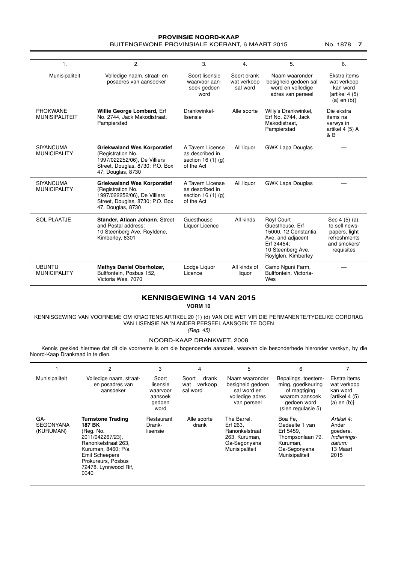#### **PROVINSIE NOORD-KAAP** BUITENGEWONE PROVINSIALE KOERANT, 6 MAART 2015 No. 1878 7

| 1 <sub>1</sub>                           | 2.                                                                                                                                              | 3.                                                                          | $\overline{4}$                         | 5.                                                                                                                                          | 6.                                                                                             |
|------------------------------------------|-------------------------------------------------------------------------------------------------------------------------------------------------|-----------------------------------------------------------------------------|----------------------------------------|---------------------------------------------------------------------------------------------------------------------------------------------|------------------------------------------------------------------------------------------------|
| Munisipaliteit                           | Volledige naam, straat- en<br>posadres van aansoeker                                                                                            | Soort lisensie<br>waarvoor aan-<br>soek gedoen<br>word                      | Soort drank<br>wat verkoop<br>sal word | Naam waaronder<br>besigheid gedoen sal<br>word en volledige<br>adres van perseel                                                            | Ekstra items<br>wat verkoop<br>kan word<br>(artikel 4 (5)<br>$(a)$ en $(b)$ ]                  |
| <b>PHOKWANE</b><br><b>MUNISIPALITEIT</b> | Willie George Lombard, Erf<br>No. 2744, Jack Makodistraat,<br>Pampierstad                                                                       | Drankwinkel-<br>lisensie                                                    | Alle soorte                            | Willy's Drankwinkel,<br>Erf No. 2744, Jack<br>Makodistraat.<br>Pampierstad                                                                  | Die ekstra<br>items na<br>verwys in<br>artikel 4 (5) A<br>& B                                  |
| <b>SIYANCUMA</b><br><b>MUNICIPALITY</b>  | <b>Griekwaland Wes Korporatief</b><br>(Registration No.<br>1997/022252/06), De Villiers<br>Street, Douglas, 8730; P.O. Box<br>47, Douglas, 8730 | A Tavern License<br>as described in<br>section 16 $(1)$ $(q)$<br>of the Act | All liquor                             | <b>GWK Lapa Douglas</b>                                                                                                                     |                                                                                                |
| <b>SIYANCUMA</b><br><b>MUNICIPALITY</b>  | <b>Griekwaland Wes Korporatief</b><br>(Registration No.<br>1997/022252/06), De Villiers<br>Street, Douglas, 8730; P.O. Box<br>47, Douglas, 8730 | A Tavern License<br>as described in<br>section 16 $(1)$ $(q)$<br>of the Act | All liquor                             | <b>GWK Lapa Douglas</b>                                                                                                                     |                                                                                                |
| <b>SOL PLAATJE</b>                       | Stander, Atiaan Johann. Street<br>and Postal address:<br>10 Steenberg Ave, Royldene,<br>Kimberley, 8301                                         | Guesthouse<br>Liquor Licence                                                | All kinds                              | <b>Royl Court</b><br>Guesthouse, Erf<br>15000. 12 Constantia<br>Ave, and adjacent<br>Erf 34454:<br>10 Steenberg Ave,<br>Roylglen, Kimberley | Sec 4 (5) (a),<br>to sell news-<br>papers, light<br>refreshments<br>and smokers'<br>requisites |
| <b>UBUNTU</b><br><b>MUNICIPALITY</b>     | <b>Mathys Daniel Oberholzer,</b><br>Bultfontein, Posbus 152,<br>Victoria Wes, 7070                                                              | Lodge Liquor<br>Licence                                                     | All kinds of<br>liquor                 | Camp Nguni Farm,<br>Bultfontein, Victoria-<br>Wes                                                                                           |                                                                                                |

### **KENNISGEWING 14 VAN 2015**

**VORM 10**

KENNISGEWING VAN VOORNEME OM KRAGTENS ARTIKEL 20 (1) (d) VAN DIE WET VIR DIE PERMANENTE/TYDELIKE OORDRAG VAN LISENSIE NA 'N ANDER PERSEEL AANSOEK TE DOEN

(Reg. 45)

#### NOORD-KAAP DRANKWET, 2008

Kennis geskied hiermee dat dit die voorneme is om die bogenoemde aansoek, waarvan die besonderhede hieronder verskyn, by die Noord-Kaap Drankraad in te dien.

|                                      | 2                                                                                                                                                                                               | 3                                                          | 4                                            | 5                                                                                            | 6                                                                                                               |                                                                               |
|--------------------------------------|-------------------------------------------------------------------------------------------------------------------------------------------------------------------------------------------------|------------------------------------------------------------|----------------------------------------------|----------------------------------------------------------------------------------------------|-----------------------------------------------------------------------------------------------------------------|-------------------------------------------------------------------------------|
| Munisipaliteit                       | Volledige naam, straat-<br>en posadres van<br>aansoeker                                                                                                                                         | Soort<br>lisensie<br>waarvoor<br>aansoek<br>gedoen<br>word | Soort<br>drank<br>verkoop<br>wat<br>sal word | Naam waaronder<br>besigheid gedoen<br>sal word en<br>volledige adres<br>van perseel          | Bepalings, toestem-<br>ming, goedkeuring<br>of magtiging<br>waarom aansoek<br>gedoen word<br>(sien regulasie 5) | Ekstra items<br>wat verkoop<br>kan word<br>(artikel 4 (5)<br>$(a)$ en $(b)$ ] |
| GA-<br><b>SEGONYANA</b><br>(KURUMAN) | <b>Turnstone Trading</b><br>187 BK<br>(Reg. No.<br>2011/042267/23),<br>Ranonkelstraat 263.<br>Kuruman, 8460; P/a<br><b>Emil Scheepers</b><br>Prokureurs, Posbus<br>72478, Lynnwood Rif,<br>0040 | Restaurant<br>Drank-<br>lisensie                           | Alle soorte<br>drank                         | The Barrel,<br>Erf 263,<br>Ranonkelstraat<br>263, Kuruman,<br>Ga-Segonyana<br>Munisipaliteit | Boa Fe,<br>Gedeelte 1 van<br>Erf 5459.<br>Thompsonlaan 79,<br>Kuruman.<br>Ga-Segonyana<br>Munisipaliteit        | Artikel 4:<br>Ander<br>goedere.<br>Indienings-<br>datum:<br>13 Maart<br>2015  |